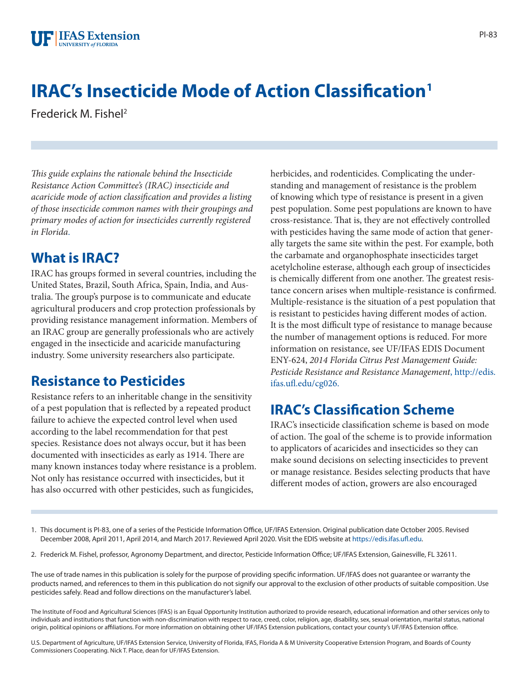# **IRAC's Insecticide Mode of Action Classification1**

Frederick M. Fishel2

*This guide explains the rationale behind the Insecticide Resistance Action Committee's (IRAC) insecticide and acaricide mode of action classification and provides a listing of those insecticide common names with their groupings and primary modes of action for insecticides currently registered in Florida*[.](FIGURE_1)

#### **What is IRAC?**

IRAC has groups formed in several countries, including the United States, Brazil, South Africa, Spain, India, and Australia. The group's purpose is to communicate and educate agricultural producers and crop protection professionals by providing resistance management information. Members of an IRAC group are generally professionals who are actively engaged in the insecticide and acaricide manufacturing industry. Some university researchers also participate.

#### **Resistance to Pesticides**

Resistance refers to an inheritable change in the sensitivity of a pest population that is reflected by a repeated product failure to achieve the expected control level when used according to the label recommendation for that pest species. Resistance does not always occur, but it has been documented with insecticides as early as 1914. There are many known instances today where resistance is a problem. Not only has resistance occurred with insecticides, but it has also occurred with other pesticides, such as fungicides,

herbicides, and rodenticides. Complicating the understanding and management of resistance is the problem of knowing which type of resistance is present in a given pest population. Some pest populations are known to have cross-resistance. That is, they are not effectively controlled with pesticides having the same mode of action that generally targets the same site within the pest. For example, both the carbamate and organophosphate insecticides target acetylcholine esterase, although each group of insecticides is chemically different from one another. The greatest resistance concern arises when multiple-resistance is confirmed. Multiple-resistance is the situation of a pest population that is resistant to pesticides having different modes of action. It is the most difficult type of resistance to manage because the number of management options is reduced. For more information on resistance, see UF/IFAS EDIS Document ENY-624, *2014 Florida Citrus Pest Management Guide: Pesticide Resistance and Resistance Management*[, http://edis.](http://edis.ifas.ufl.edu/cg026) [ifas.ufl.edu/cg026.](http://edis.ifas.ufl.edu/cg026)

## **IRAC's Classification Scheme**

IRAC's insecticide classification scheme is based on mode of action. The goal of the scheme is to provide information to applicators of acaricides and insecticides so they can make sound decisions on selecting insecticides to prevent or manage resistance. Besides selecting products that have different modes of action, growers are also encouraged

- 1. This document is PI-83, one of a series of the Pesticide Information Office, UF/IFAS Extension. Original publication date October 2005. Revised December 2008, April 2011, April 2014, and March 2017. Reviewed April 2020. Visit the EDIS website at <https://edis.ifas.ufl.edu>.
- 2. Frederick M. Fishel, professor, Agronomy Department, and director, Pesticide Information Office; UF/IFAS Extension, Gainesville, FL 32611.

The use of trade names in this publication is solely for the purpose of providing specific information. UF/IFAS does not guarantee or warranty the products named, and references to them in this publication do not signify our approval to the exclusion of other products of suitable composition. Use pesticides safely. Read and follow directions on the manufacturer's label.

The Institute of Food and Agricultural Sciences (IFAS) is an Equal Opportunity Institution authorized to provide research, educational information and other services only to individuals and institutions that function with non-discrimination with respect to race, creed, color, religion, age, disability, sex, sexual orientation, marital status, national origin, political opinions or affiliations. For more information on obtaining other UF/IFAS Extension publications, contact your county's UF/IFAS Extension office.

U.S. Department of Agriculture, UF/IFAS Extension Service, University of Florida, IFAS, Florida A & M University Cooperative Extension Program, and Boards of County Commissioners Cooperating. Nick T. Place, dean for UF/IFAS Extension.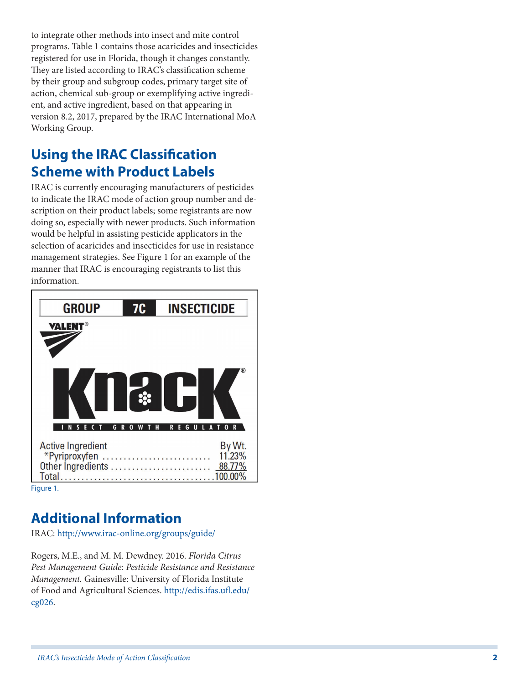to integrate other methods into insect and mite control programs. Table 1 contains those acaricides and insecticides registered for use in Florida, though it changes constantly. They are listed according to IRAC's classification scheme by their group and subgroup codes, primary target site of action, chemical sub-group or exemplifying active ingredient, and active ingredient, based on that appearing in version 8.2, 2017, prepared by the IRAC International MoA Working Group.

### **Using the IRAC Classification Scheme with Product Labels**

IRAC is currently encouraging manufacturers of pesticides to indicate the IRAC mode of action group number and description on their product labels; some registrants are now doing so, especially with newer products. Such information would be helpful in assisting pesticide applicators in the selection of acaricides and insecticides for use in resistance management strategies. See Figure 1 for an example of the manner that IRAC is encouraging registrants to list this information.



Figure 1.

## **Additional Information**

IRAC: [http://www.irac-online.org/groups/guide/](http://www.irac-online.org/)

Rogers, M.E., and M. M. Dewdney. 2016. *Florida Citrus Pest Management Guide: Pesticide Resistance and Resistance Management.* Gainesville: University of Florida Institute of Food and Agricultural Sciences. [http://edis.ifas.ufl.edu/](http://edis.ifas.ufl.edu/cg026) [cg026.](http://edis.ifas.ufl.edu/cg026)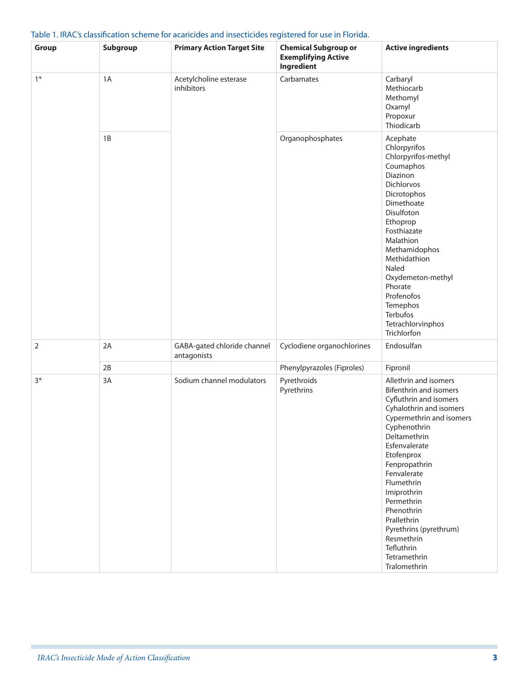| Table 1. IRAC's classification scheme for acaricides and insecticides registered for use in Florida. |  |
|------------------------------------------------------------------------------------------------------|--|
|------------------------------------------------------------------------------------------------------|--|

| Group       | Subgroup | <b>Primary Action Target Site</b>          | <b>Chemical Subgroup or</b><br><b>Exemplifying Active</b><br>Ingredient | <b>Active ingredients</b>                                                                                                                                                                                                                                                                                                                                                                            |
|-------------|----------|--------------------------------------------|-------------------------------------------------------------------------|------------------------------------------------------------------------------------------------------------------------------------------------------------------------------------------------------------------------------------------------------------------------------------------------------------------------------------------------------------------------------------------------------|
| $1*$        | 1A       | Acetylcholine esterase<br>inhibitors       | Carbamates                                                              | Carbaryl<br>Methiocarb<br>Methomyl<br>Oxamyl<br>Propoxur<br>Thiodicarb                                                                                                                                                                                                                                                                                                                               |
|             | 1B       |                                            | Organophosphates                                                        | Acephate<br>Chlorpyrifos<br>Chlorpyrifos-methyl<br>Coumaphos<br>Diazinon<br>Dichlorvos<br>Dicrotophos<br>Dimethoate<br>Disulfoton<br>Ethoprop<br>Fosthiazate<br>Malathion<br>Methamidophos<br>Methidathion<br>Naled<br>Oxydemeton-methyl<br>Phorate<br>Profenofos<br>Temephos<br>Terbufos<br>Tetrachlorvinphos<br>Trichlorfon                                                                        |
| $\mathbf 2$ | 2A       | GABA-gated chloride channel<br>antagonists | Cyclodiene organochlorines                                              | Endosulfan                                                                                                                                                                                                                                                                                                                                                                                           |
|             | 2B       |                                            | Phenylpyrazoles (Fiproles)                                              | Fipronil                                                                                                                                                                                                                                                                                                                                                                                             |
| $3*$        | 3A       | Sodium channel modulators                  | Pyrethroids<br>Pyrethrins                                               | Allethrin and isomers<br><b>Bifenthrin and isomers</b><br>Cyfluthrin and isomers<br>Cyhalothrin and isomers<br>Cypermethrin and isomers<br>Cyphenothrin<br>Deltamethrin<br>Esfenvalerate<br>Etofenprox<br>Fenpropathrin<br>Fenvalerate<br>Flumethrin<br>Imiprothrin<br>Permethrin<br>Phenothrin<br>Prallethrin<br>Pyrethrins (pyrethrum)<br>Resmethrin<br>Tefluthrin<br>Tetramethrin<br>Tralomethrin |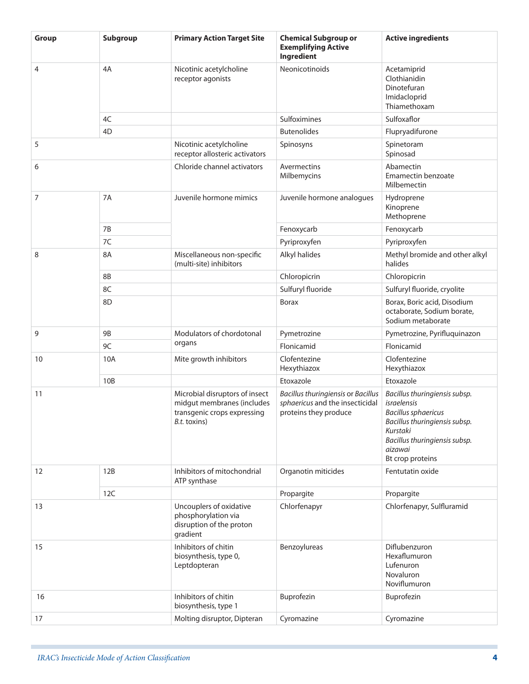| Group          | Subgroup       | <b>Primary Action Target Site</b>                                                                           | <b>Chemical Subgroup or</b><br><b>Exemplifying Active</b><br>Ingredient                        | <b>Active ingredients</b>                                                                                                                                                               |
|----------------|----------------|-------------------------------------------------------------------------------------------------------------|------------------------------------------------------------------------------------------------|-----------------------------------------------------------------------------------------------------------------------------------------------------------------------------------------|
| $\overline{4}$ | 4A             | Nicotinic acetylcholine<br>receptor agonists                                                                | Neonicotinoids                                                                                 | Acetamiprid<br>Clothianidin<br>Dinotefuran<br>Imidacloprid<br>Thiamethoxam                                                                                                              |
|                | 4C             |                                                                                                             | Sulfoximines                                                                                   | Sulfoxaflor                                                                                                                                                                             |
|                | 4 <sub>D</sub> |                                                                                                             | <b>Butenolides</b>                                                                             | Flupryadifurone                                                                                                                                                                         |
| 5              |                | Nicotinic acetylcholine<br>receptor allosteric activators                                                   | Spinosyns                                                                                      | Spinetoram<br>Spinosad                                                                                                                                                                  |
| 6              |                | Chloride channel activators                                                                                 | Avermectins<br>Milbemycins                                                                     | Abamectin<br><b>Emamectin benzoate</b><br>Milbemectin                                                                                                                                   |
| 7              | 7A             | Juvenile hormone mimics                                                                                     | Juvenile hormone analogues                                                                     | Hydroprene<br>Kinoprene<br>Methoprene                                                                                                                                                   |
|                | 7B             |                                                                                                             | Fenoxycarb                                                                                     | Fenoxycarb                                                                                                                                                                              |
|                | 7C             |                                                                                                             | Pyriproxyfen                                                                                   | Pyriproxyfen                                                                                                                                                                            |
| 8              | 8A             | Miscellaneous non-specific<br>(multi-site) inhibitors                                                       | Alkyl halides                                                                                  | Methyl bromide and other alkyl<br>halides                                                                                                                                               |
|                | 8B             |                                                                                                             | Chloropicrin                                                                                   | Chloropicrin                                                                                                                                                                            |
|                | 8C             |                                                                                                             | Sulfuryl fluoride                                                                              | Sulfuryl fluoride, cryolite                                                                                                                                                             |
|                | 8D             |                                                                                                             | <b>Borax</b>                                                                                   | Borax, Boric acid, Disodium<br>octaborate, Sodium borate,<br>Sodium metaborate                                                                                                          |
| 9              | <b>9B</b>      | Modulators of chordotonal                                                                                   | Pymetrozine                                                                                    | Pymetrozine, Pyrifluquinazon                                                                                                                                                            |
|                | 9C             | organs                                                                                                      | Flonicamid                                                                                     | Flonicamid                                                                                                                                                                              |
| 10             | 10A            | Mite growth inhibitors                                                                                      | Clofentezine<br>Hexythiazox                                                                    | Clofentezine<br>Hexythiazox                                                                                                                                                             |
|                | 10B            |                                                                                                             | Etoxazole                                                                                      | Etoxazole                                                                                                                                                                               |
| 11             |                | Microbial disruptors of insect<br>midgut membranes (includes<br>transgenic crops expressing<br>B.t. toxins) | Bacillus thuringiensis or Bacillus<br>sphaericus and the insecticidal<br>proteins they produce | Bacillus thuringiensis subsp.<br>israelensis<br><b>Bacillus sphaericus</b><br>Bacillus thuringiensis subsp.<br>Kurstaki<br>Bacillus thuringiensis subsp.<br>aizawai<br>Bt crop proteins |
| 12             | 12B            | Inhibitors of mitochondrial<br>ATP synthase                                                                 | Organotin miticides                                                                            | Fentutatin oxide                                                                                                                                                                        |
|                | 12C            |                                                                                                             | Propargite                                                                                     | Propargite                                                                                                                                                                              |
| 13             |                | Uncouplers of oxidative<br>phosphorylation via<br>disruption of the proton<br>gradient                      | Chlorfenapyr                                                                                   | Chlorfenapyr, Sulfluramid                                                                                                                                                               |
| 15             |                | Inhibitors of chitin<br>biosynthesis, type 0,<br>Leptdopteran                                               | Benzoylureas                                                                                   | Diflubenzuron<br>Hexaflumuron<br>Lufenuron<br>Novaluron<br>Noviflumuron                                                                                                                 |
| 16             |                | Inhibitors of chitin<br>biosynthesis, type 1                                                                | Buprofezin                                                                                     | Buprofezin                                                                                                                                                                              |
| 17             |                | Molting disruptor, Dipteran                                                                                 | Cyromazine                                                                                     | Cyromazine                                                                                                                                                                              |